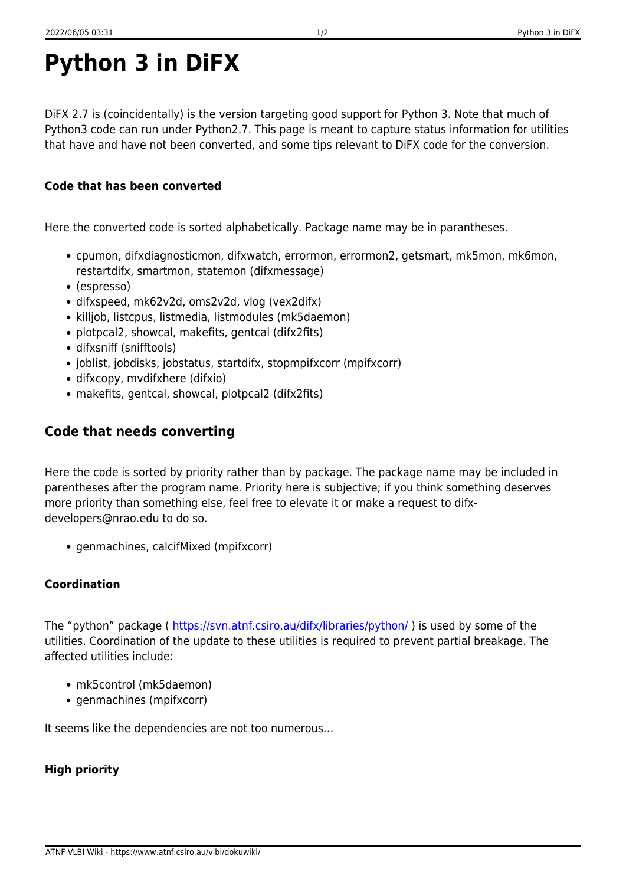# **Python 3 in DiFX**

DiFX 2.7 is (coincidentally) is the version targeting good support for Python 3. Note that much of Python3 code can run under Python2.7. This page is meant to capture status information for utilities that have and have not been converted, and some tips relevant to DiFX code for the conversion.

### **Code that has been converted**

Here the converted code is sorted alphabetically. Package name may be in parantheses.

- cpumon, difxdiagnosticmon, difxwatch, errormon, errormon2, getsmart, mk5mon, mk6mon, restartdifx, smartmon, statemon (difxmessage)
- (espresso)
- difxspeed, mk62v2d, oms2v2d, vlog (vex2difx)
- killjob, listcpus, listmedia, listmodules (mk5daemon)
- plotpcal2, showcal, makefits, gentcal (difx2fits)
- difxsniff (snifftools)
- joblist, jobdisks, jobstatus, startdifx, stopmpifxcorr (mpifxcorr)
- difxcopy, mvdifxhere (difxio)
- makefits, gentcal, showcal, plotpcal2 (difx2fits)

## **Code that needs converting**

Here the code is sorted by priority rather than by package. The package name may be included in parentheses after the program name. Priority here is subjective; if you think something deserves more priority than something else, feel free to elevate it or make a request to difxdevelopers@nrao.edu to do so.

• genmachines, calcifMixed (mpifxcorr)

#### **Coordination**

The "python" package (<https://svn.atnf.csiro.au/difx/libraries/python/> ) is used by some of the utilities. Coordination of the update to these utilities is required to prevent partial breakage. The affected utilities include:

- mk5control (mk5daemon)
- genmachines (mpifxcorr)

It seems like the dependencies are not too numerous…

#### **High priority**